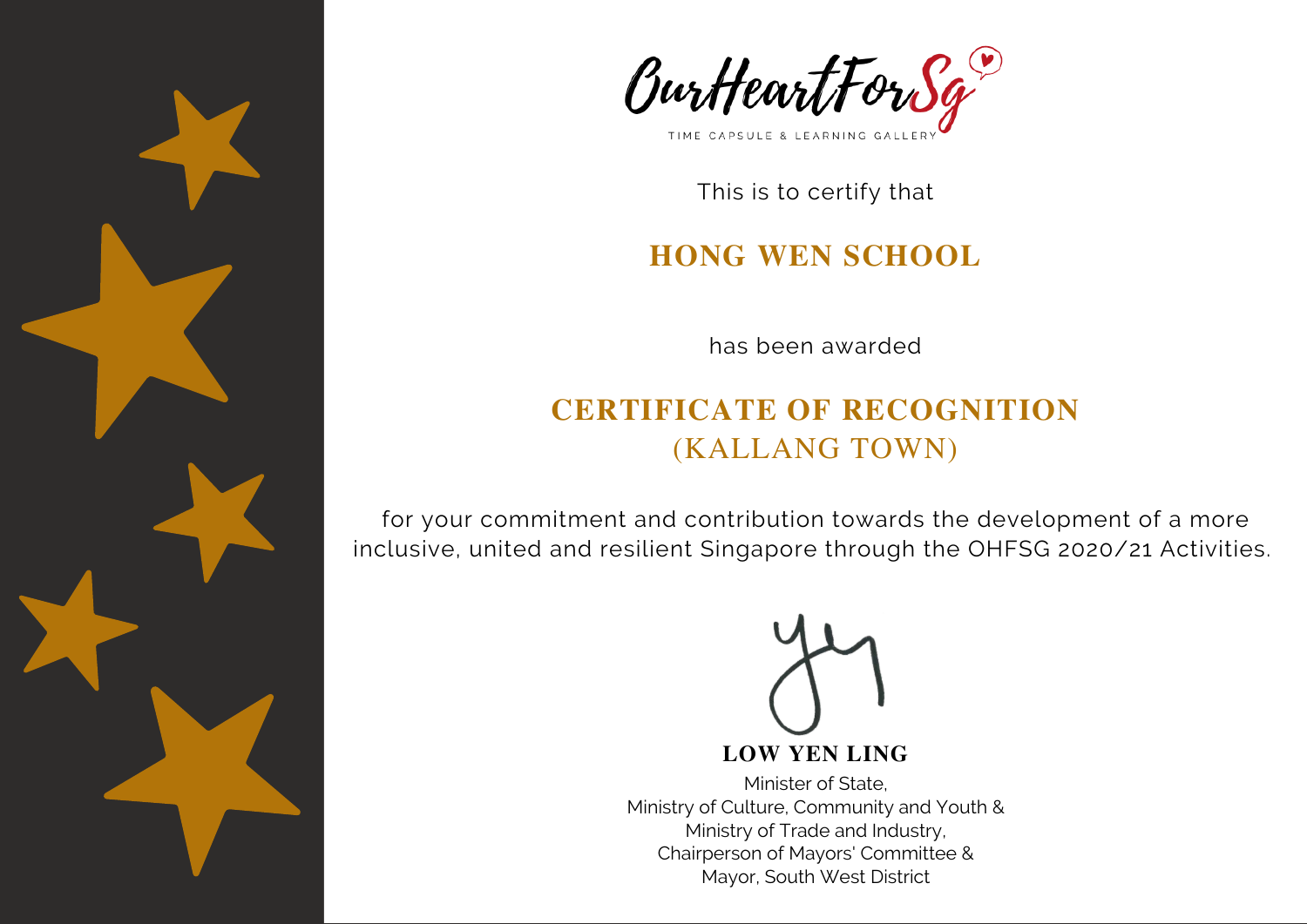



#### **HONG WEN SCHOOL**

has been awarded

# **CERTIFICATE OF RECOGNITION** (KALLANG TOWN)

for your commitment and contribution towards the development of a more inclusive, united and resilient Singapore through the OHFSG 2020/21 Activities.

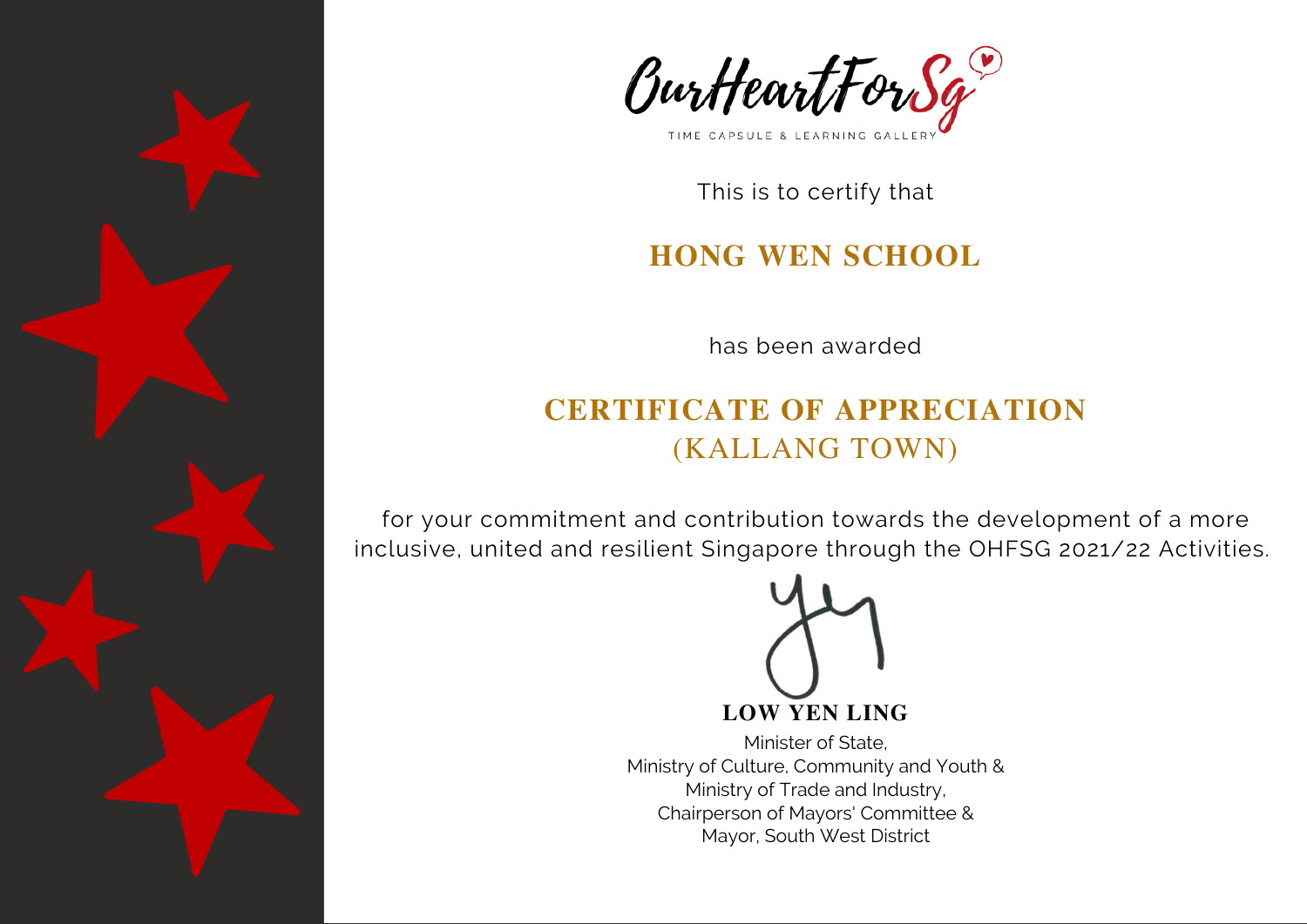



#### **HONG WEN SCHOOL**

has been awarded

# **CERTIFICATE OF APPRECIATION** (KALLANG TOWN)

for your commitment and contribution towards the development of a more inclusive, united and resilient Singapore through the OHFSG 2021/22 Activities.

**LOW YEN LING**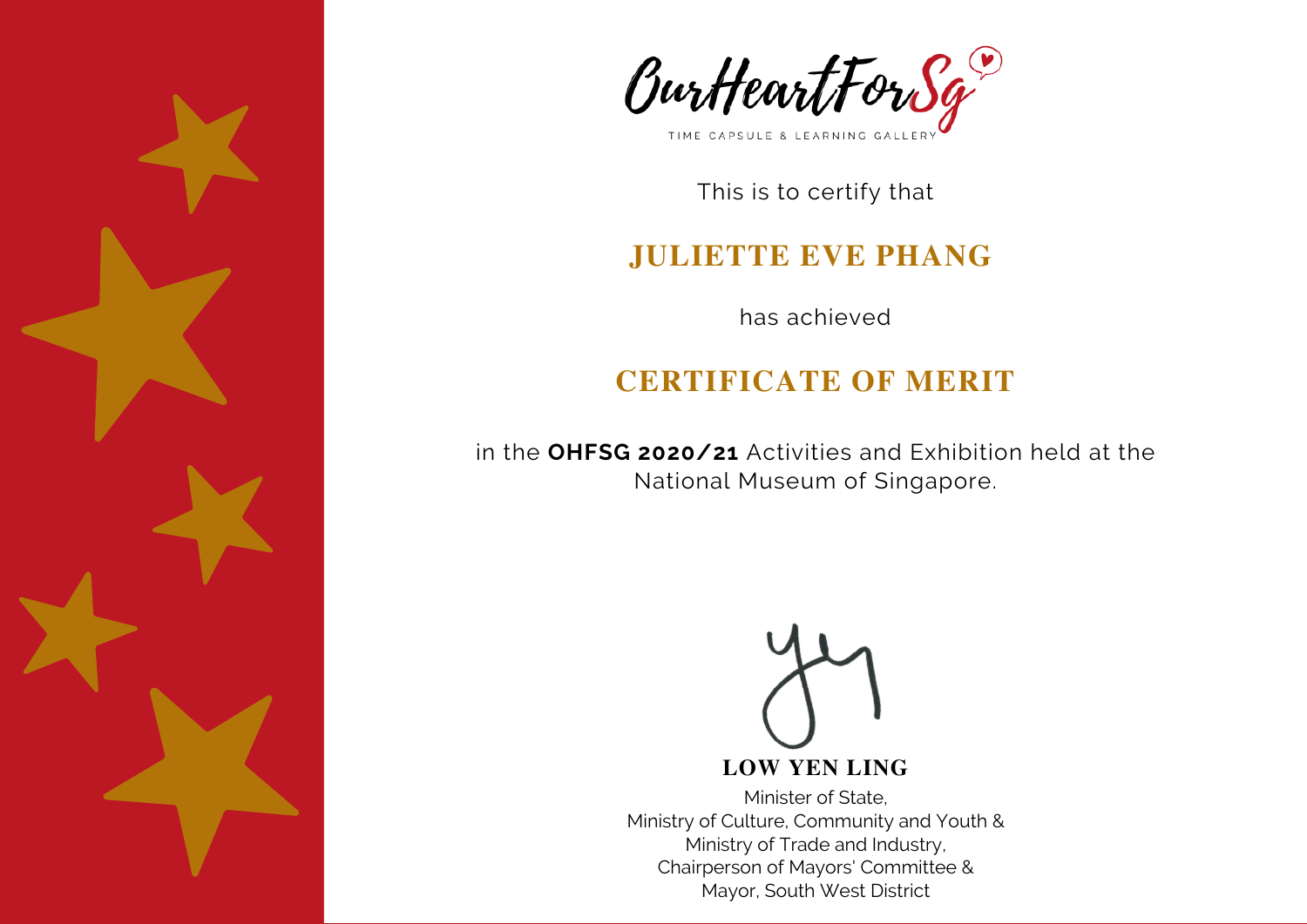



#### **JULIETTE EVE PHANG**

has achieved

# **CERTIFICATE OF MERIT**

in the **OHFSG 2020/21** Activities and Exhibition held at the National Museum of Singapore.

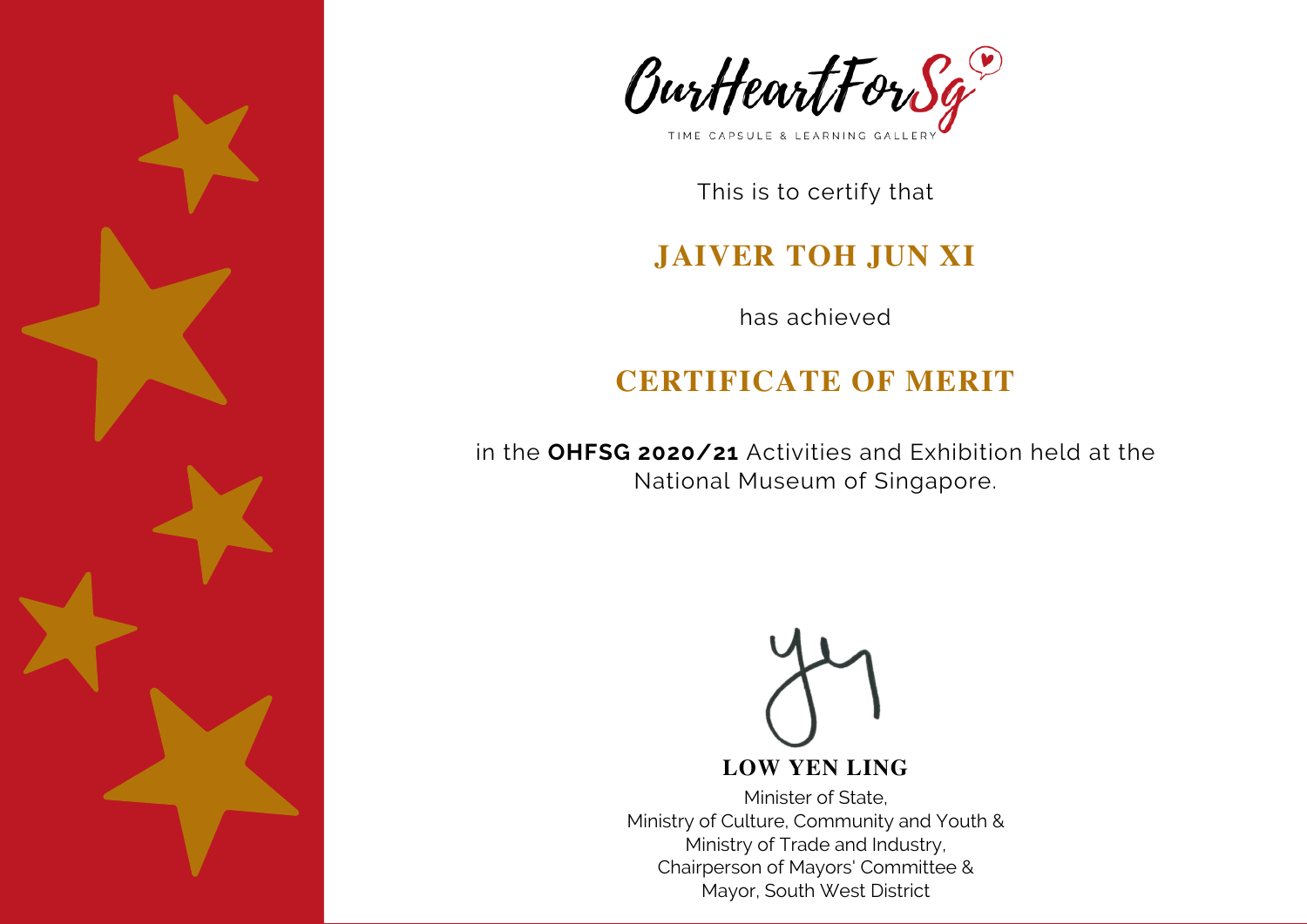



### **JAIVER TOH JUN XI**

has achieved

# **CERTIFICATE OF MERIT**

in the **OHFSG 2020/21** Activities and Exhibition held at the National Museum of Singapore.



#### **LOW YEN LING**